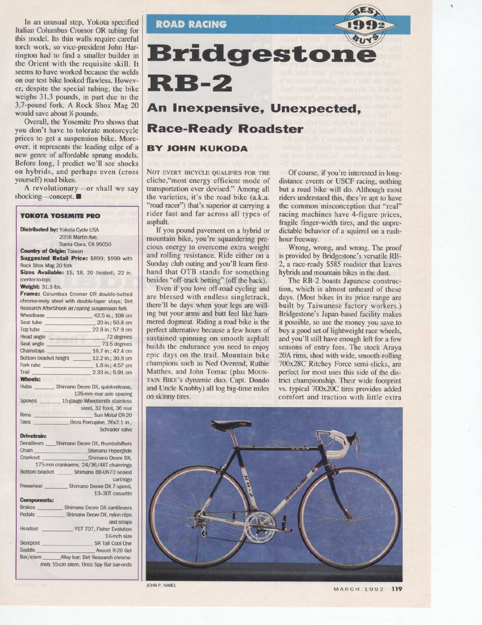In an unusual step, Yokota specified Italian Columbus Cromor OR tubing for this model. Its thin walls require careful torch work, so vice-president John Harrington had to find a smaller builder in the Orient with the requisite skill. It seems to have worked because the welds on our test bike looked flawless. However, despite the special tubing, the bike weighs 31.3 pounds, in part due to the 3.7-pound fork. A Rock Shox Mag 20 would save about X pounds.

Overall, the Yosemite Pro shows that you don't have to tolerate motorcycle prices to get a suspension bike. Moreover, it represents the leading edge of a new genre of affordable sprung models. Before long, <sup>I</sup> predict we'll see shocks on hybrids, and perhaps even (cross yourself) road bikes.

A revolutionary-or shall we say shocking-concept.

#### YOKOTA YOSEMITE PRO Distributed by: Yokota Cycle USA 2016 Martin Ave. Santa Clara, CA 95050 **Country of Origin: Taiwan** Suggested Retail Price: \$899; \$999 with Rock Shox Mag 20 fork **Sizes Available:** 15, 18, 20 (tested), 22 in. (center-to-top) Weight: 31.3 lbs. Frame: Columbus Cromor OR double-butted chrome-moly steel with double-taper stays; Dirt Research AfterShock air/spring suspension fork<br>Wheelbase 42.5 in.: 108 c Wheelbase  $42.5$  in.;  $108$  cm<br>Seat tube  $20$  in :  $50.8$  cm Seat tube 22.8 in ; 50.8 cm<br>Top tube 22.8 in : 57.9 cm Top tube 22.8 in.; 57.9 cm<br>Head angle 72 degrees Head angle 272 degrees<br>Seat angle 273.5 degrees Seat angle 73.5 degrees<br>Chainstays 75.5 degrees 16.7 in ; 42.4 cm<br>12.2 in ; 30.9 cm Bottom bracket height \_<br>Fork rake Fork rake 1.8 in.; 4.57 cm<br>Trail 2.33 in : 5.91 cm 2.33 in.; 5.91 cm **Wheels:**<br>Hubs Shimano Deore DX, quick-release, 135-mm rear axle spacing Spokes 15-gauge Wheelsmith stainless steel, 32 front, 36 rear Rims<br>
Sun Metal CR-20<br>
Tires Onza Porcupine. 26x2.1 in. Onza Porcupine, 26x2.1 in., Schrader valve Drivetrain:<br>Derailleurs Derailleurs \_\_\_\_\_\_Shimano Deore DX, thumbshifters<br>Chain<br>Shimano Hyperdide Chain Shimano Hyperglide<br>Crankset Shimano Deore DX Shimano Deore DX. 175-mm crankarms, 24/36/48T chainrings<br>Bottom bracket \_\_\_\_\_\_\_\_ Shimano BB-UN70 sealed Shimano BB-UN70 sealed cartridge Freewheel \_\_\_\_\_\_\_\_\_\_ Shimano Deore DX 7-speed, 13-307 cassette **Components:**<br>Brakes Brakes Shimano Deore DX cantilevers<br>Pedals Shimano Deore DX nylon clins Shimano Deore DX, nylon clips and straps Headset \_\_\_\_\_\_\_\_\_\_ YST 707, Fisher Evolution 1%inch size Seatpost SR Tall Cool One Saddle Avocet R-20 Gel Alloy bar; Dirt Research chromemoly 15-cm stem, Onza Spy Bar bar-ends

**ROAD RACING** Bridgeston  $\bf RB-2$ An Inexpensive, Unexpected,

# Race-Ready Roadster

## BY JOHN KUKODA

NOT EVERY BICYCLE QUALIFIES FOR THE cliche,"most energy efficient mode of transportation ever devised." Among all the varieties, it's the road bike (a.k.a. "road racer") that's superior at carrying a rider fast and far across all types of asphalt.

If you pound pavement on a hybrid or mountain bike, you're squandering precious energy to overcome extra weight and rolling resistance. Ride either on a Sunday club outing and you'll learn firsthand that OTB stands for something besides "off-track betting" (off the back).

Even if you love off-road cycling and are blessed with endless singletrack, there'll be days when your legs are willing but your arms and butt feel like hammered dogmeat. Riding a road bike is the perfect alternative because a few hours of sustained spinning on smooth asphalt builds the endurance you need to enjoy epic days on the trail. Mountain bike champions such as Ned Overend, Ruthie Matthes, and John Tomac (plus MOUN-TAIN BIKE's dynamic duo, Capt. Dondo and Uncle Knobby) all log big-time miles on skinny tires.

Of course, if you're interested in longdistance events or USCF racing, nothing but a road bike will do. Although most riders understand this, they're apt to have the common misconception that "real" racing machines have 4-figure prices, fragile finger-width tires, and the unpredictable behavior of a squirrel on <sup>a</sup> rushhour freeway.

Wrong, wrong, and wrong. The proof is provided by Bridgestone's versatile RB-2, a race-ready \$585 roadster that leaves hybrids and mountain bikes in the dust.

The RB-2 boasts Japanese construction, which is almost unheard of these days. (Most bikes in its price range are built by Taiwanese factory workers.) Bridgestone's Japan-based facility makes it possible, so use the money you save to buy a good set of lightweight race wheels, and you'll still have enough left for a few seasons of entry fees. The stock Araya 20A rims, shod with wide, smooth-rolling 700x28C Ritchey Force semi-slicks, are perfect for most uses this side of the district championship. Their wide footprint vs. typical 700x20C tires provides added comfort and traction with little extra



MARCH 1992 <sup>119</sup>